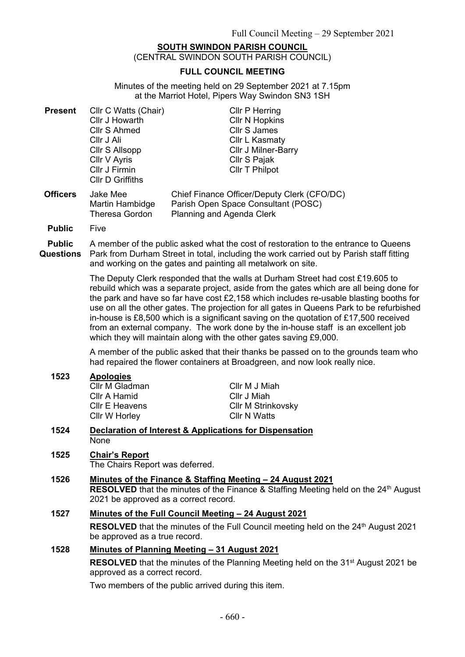# **SOUTH SWINDON PARISH COUNCIL**

(CENTRAL SWINDON SOUTH PARISH COUNCIL)

## **FULL COUNCIL MEETING**

Minutes of the meeting held on 29 September 2021 at 7.15pm at the Marriot Hotel, Pipers Way Swindon SN3 1SH

| <b>Present</b>  | Cllr C Watts (Chair)                          | <b>Cllr P Herring</b>                                                                                                  |
|-----------------|-----------------------------------------------|------------------------------------------------------------------------------------------------------------------------|
|                 | Cllr J Howarth                                | <b>Cllr N Hopkins</b>                                                                                                  |
|                 | Cllr S Ahmed                                  | Cllr S James                                                                                                           |
|                 | Cllr J Ali                                    | Cllr L Kasmaty                                                                                                         |
|                 | Cllr S Allsopp                                | <b>CIIr J Milner-Barry</b>                                                                                             |
|                 | Cllr V Ayris                                  | Cllr S Pajak                                                                                                           |
|                 | Cllr J Firmin<br>Cllr D Griffiths             | Cllr T Philpot                                                                                                         |
| <b>Officers</b> | Jake Mee<br>Martin Hambidge<br>Theresa Gordon | Chief Finance Officer/Deputy Clerk (CFO/DC)<br>Parish Open Space Consultant (POSC)<br><b>Planning and Agenda Clerk</b> |

**Public** Five

**Public Questions** A member of the public asked what the cost of restoration to the entrance to Queens Park from Durham Street in total, including the work carried out by Parish staff fitting and working on the gates and painting all metalwork on site.

> The Deputy Clerk responded that the walls at Durham Street had cost £19.605 to rebuild which was a separate project, aside from the gates which are all being done for the park and have so far have cost £2,158 which includes re-usable blasting booths for use on all the other gates. The projection for all gates in Queens Park to be refurbished in-house is £8,500 which is a significant saving on the quotation of £17,500 received from an external company. The work done by the in-house staff is an excellent job which they will maintain along with the other gates saving £9,000.

A member of the public asked that their thanks be passed on to the grounds team who had repaired the flower containers at Broadgreen, and now look really nice.

#### **1523 Apologies**

Cllr M Gladman Cllr A Hamid Cllr E Heavens Cllr W Horley

Cllr M J Miah Cllr J Miah Cllr M Strinkovsky Cllr N Watts

#### **1524 Declaration of Interest & Applications for Dispensation** None

## **1525 Chair's Report**

The Chairs Report was deferred.

**1526 Minutes of the Finance & Staffing Meeting – 24 August 2021 RESOLVED** that the minutes of the Finance & Staffing Meeting held on the 24<sup>th</sup> August 2021 be approved as a correct record.

# **1527 Minutes of the Full Council Meeting – 24 August 2021**

**RESOLVED** that the minutes of the Full Council meeting held on the 24<sup>th</sup> August 2021 be approved as a true record.

# **1528 Minutes of Planning Meeting – 31 August 2021**

**RESOLVED** that the minutes of the Planning Meeting held on the 31<sup>st</sup> August 2021 be approved as a correct record.

Two members of the public arrived during this item.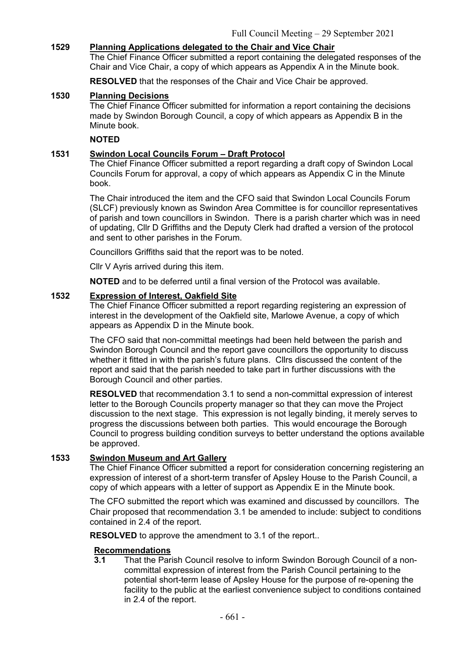# **1529 Planning Applications delegated to the Chair and Vice Chair**

The Chief Finance Officer submitted a report containing the delegated responses of the Chair and Vice Chair, a copy of which appears as Appendix A in the Minute book.

**RESOLVED** that the responses of the Chair and Vice Chair be approved.

## **1530 Planning Decisions**

The Chief Finance Officer submitted for information a report containing the decisions made by Swindon Borough Council, a copy of which appears as Appendix B in the Minute book.

#### **NOTED**

## **1531 Swindon Local Councils Forum – Draft Protocol**

The Chief Finance Officer submitted a report regarding a draft copy of Swindon Local Councils Forum for approval, a copy of which appears as Appendix C in the Minute book.

The Chair introduced the item and the CFO said that Swindon Local Councils Forum (SLCF) previously known as Swindon Area Committee is for councillor representatives of parish and town councillors in Swindon. There is a parish charter which was in need of updating, Cllr D Griffiths and the Deputy Clerk had drafted a version of the protocol and sent to other parishes in the Forum.

Councillors Griffiths said that the report was to be noted.

Cllr V Ayris arrived during this item.

**NOTED** and to be deferred until a final version of the Protocol was available.

#### **1532 Expression of Interest, Oakfield Site**

The Chief Finance Officer submitted a report regarding registering an expression of interest in the development of the Oakfield site, Marlowe Avenue, a copy of which appears as Appendix D in the Minute book.

The CFO said that non-committal meetings had been held between the parish and Swindon Borough Council and the report gave councillors the opportunity to discuss whether it fitted in with the parish's future plans. Cllrs discussed the content of the report and said that the parish needed to take part in further discussions with the Borough Council and other parties.

**RESOLVED** that recommendation 3.1 to send a non-committal expression of interest letter to the Borough Councils property manager so that they can move the Project discussion to the next stage. This expression is not legally binding, it merely serves to progress the discussions between both parties. This would encourage the Borough Council to progress building condition surveys to better understand the options available be approved.

## **1533 Swindon Museum and Art Gallery**

The Chief Finance Officer submitted a report for consideration concerning registering an expression of interest of a short-term transfer of Apsley House to the Parish Council, a copy of which appears with a letter of support as Appendix E in the Minute book.

The CFO submitted the report which was examined and discussed by councillors. The Chair proposed that recommendation 3.1 be amended to include: subject to conditions contained in 2.4 of the report.

**RESOLVED** to approve the amendment to 3.1 of the report..

## **Recommendations**

**3.1** That the Parish Council resolve to inform Swindon Borough Council of a noncommittal expression of interest from the Parish Council pertaining to the potential short-term lease of Apsley House for the purpose of re-opening the facility to the public at the earliest convenience subject to conditions contained in 2.4 of the report.